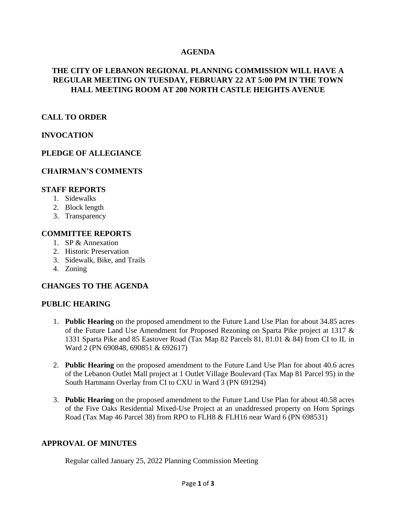## **AGENDA**

## **THE CITY OF LEBANON REGIONAL PLANNING COMMISSION WILL HAVE A REGULAR MEETING ON TUESDAY, FEBRUARY 22 AT 5:00 PM IN THE TOWN HALL MEETING ROOM AT 200 NORTH CASTLE HEIGHTS AVENUE**

## **CALL TO ORDER**

## **INVOCATION**

## **PLEDGE OF ALLEGIANCE**

### **CHAIRMAN'S COMMENTS**

#### **STAFF REPORTS**

- 1. Sidewalks
- 2. Block length
- 3. Transparency

#### **COMMITTEE REPORTS**

- 1. SP & Annexation
- 2. Historic Preservation
- 3. Sidewalk, Bike, and Trails
- 4. Zoning

### **CHANGES TO THE AGENDA**

### **PUBLIC HEARING**

- 1. **Public Hearing** on the proposed amendment to the Future Land Use Plan for about 34.85 acres of the Future Land Use Amendment for Proposed Rezoning on Sparta Pike project at 1317 & 1331 Sparta Pike and 85 Eastover Road (Tax Map 82 Parcels 81, 81.01 & 84) from CI to IL in Ward 2 (PN 690848, 690851 & 692617)
- 2. **Public Hearing** on the proposed amendment to the Future Land Use Plan for about 40.6 acres of the Lebanon Outlet Mall project at 1 Outlet Village Boulevard (Tax Map 81 Parcel 95) in the South Hartmann Overlay from CI to CXU in Ward 3 (PN 691294)
- 3. **Public Hearing** on the proposed amendment to the Future Land Use Plan for about 40.58 acres of the Five Oaks Residential Mixed-Use Project at an unaddressed property on Horn Springs Road (Tax Map 46 Parcel 38) from RPO to FLH8 & FLH16 near Ward 6 (PN 698531)

#### **APPROVAL OF MINUTES**

Regular called January 25, 2022 Planning Commission Meeting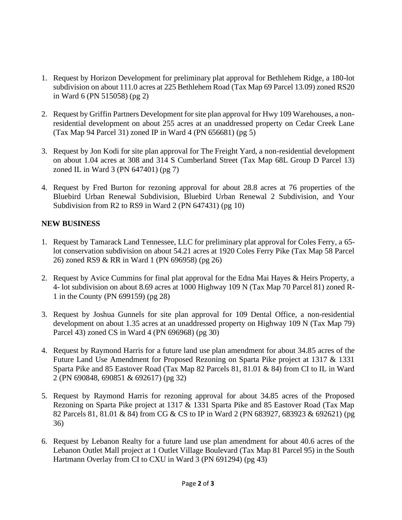- 1. Request by Horizon Development for preliminary plat approval for Bethlehem Ridge, a 180-lot subdivision on about 111.0 acres at 225 Bethlehem Road (Tax Map 69 Parcel 13.09) zoned RS20 in Ward 6 (PN 515058) (pg 2)
- 2. Request by Griffin Partners Development for site plan approval for Hwy 109 Warehouses, a nonresidential development on about 255 acres at an unaddressed property on Cedar Creek Lane (Tax Map 94 Parcel 31) zoned IP in Ward 4 (PN 656681) (pg 5)
- 3. Request by Jon Kodi for site plan approval for The Freight Yard, a non-residential development on about 1.04 acres at 308 and 314 S Cumberland Street (Tax Map 68L Group D Parcel 13) zoned IL in Ward 3 (PN 647401) (pg 7)
- 4. Request by Fred Burton for rezoning approval for about 28.8 acres at 76 properties of the Bluebird Urban Renewal Subdivision, Bluebird Urban Renewal 2 Subdivision, and Your Subdivision from R2 to RS9 in Ward 2 (PN 647431) (pg 10)

# **NEW BUSINESS**

- 1. Request by Tamarack Land Tennessee, LLC for preliminary plat approval for Coles Ferry, a 65 lot conservation subdivision on about 54.21 acres at 1920 Coles Ferry Pike (Tax Map 58 Parcel 26) zoned RS9 & RR in Ward 1 (PN 696958) (pg 26)
- 2. Request by Avice Cummins for final plat approval for the Edna Mai Hayes & Heirs Property, a 4- lot subdivision on about 8.69 acres at 1000 Highway 109 N (Tax Map 70 Parcel 81) zoned R-1 in the County (PN 699159) (pg 28)
- 3. Request by Joshua Gunnels for site plan approval for 109 Dental Office, a non-residential development on about 1.35 acres at an unaddressed property on Highway 109 N (Tax Map 79) Parcel 43) zoned CS in Ward 4 (PN 696968) (pg 30)
- 4. Request by Raymond Harris for a future land use plan amendment for about 34.85 acres of the Future Land Use Amendment for Proposed Rezoning on Sparta Pike project at 1317 & 1331 Sparta Pike and 85 Eastover Road (Tax Map 82 Parcels 81, 81.01 & 84) from CI to IL in Ward 2 (PN 690848, 690851 & 692617) (pg 32)
- 5. Request by Raymond Harris for rezoning approval for about 34.85 acres of the Proposed Rezoning on Sparta Pike project at 1317 & 1331 Sparta Pike and 85 Eastover Road (Tax Map 82 Parcels 81, 81.01 & 84) from CG & CS to IP in Ward 2 (PN 683927, 683923 & 692621) (pg 36)
- 6. Request by Lebanon Realty for a future land use plan amendment for about 40.6 acres of the Lebanon Outlet Mall project at 1 Outlet Village Boulevard (Tax Map 81 Parcel 95) in the South Hartmann Overlay from CI to CXU in Ward 3 (PN 691294) (pg 43)